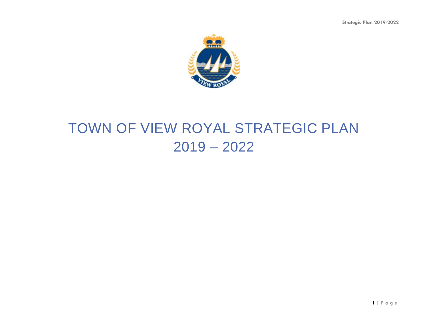**Strategic Plan 2019-2022**



# TOWN OF VIEW ROYAL STRATEGIC PLAN 2019 – 2022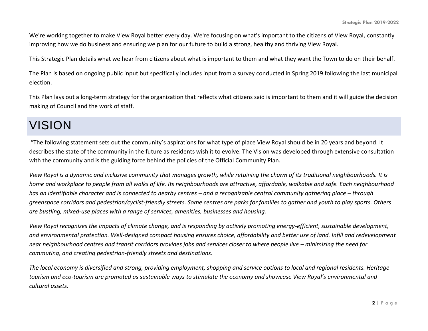We're working together to make View Royal better every day. We're focusing on what's important to the citizens of View Royal, constantly improving how we do business and ensuring we plan for our future to build a strong, healthy and thriving View Royal.

This Strategic Plan details what we hear from citizens about what is important to them and what they want the Town to do on their behalf.

The Plan is based on ongoing public input but specifically includes input from a survey conducted in Spring 2019 following the last municipal election.

This Plan lays out a long-term strategy for the organization that reflects what citizens said is important to them and it will guide the decision making of Council and the work of staff.

## VISION

"The following statement sets out the community's aspirations for what type of place View Royal should be in 20 years and beyond. It describes the state of the community in the future as residents wish it to evolve. The Vision was developed through extensive consultation with the community and is the guiding force behind the policies of the Official Community Plan.

*View Royal is a dynamic and inclusive community that manages growth, while retaining the charm of its traditional neighbourhoods. It is home and workplace to people from all walks of life. Its neighbourhoods are attractive, affordable, walkable and safe. Each neighbourhood has an identifiable character and is connected to nearby centres – and a recognizable central community gathering place – through greenspace corridors and pedestrian/cyclist-friendly streets. Some centres are parks for families to gather and youth to play sports. Others are bustling, mixed-use places with a range of services, amenities, businesses and housing.* 

*View Royal recognizes the impacts of climate change, and is responding by actively promoting energy-efficient, sustainable development, and environmental protection. Well-designed compact housing ensures choice, affordability and better use of land. Infill and redevelopment near neighbourhood centres and transit corridors provides jobs and services closer to where people live – minimizing the need for commuting, and creating pedestrian-friendly streets and destinations.* 

*The local economy is diversified and strong, providing employment, shopping and service options to local and regional residents. Heritage tourism and eco-tourism are promoted as sustainable ways to stimulate the economy and showcase View Royal's environmental and cultural assets.*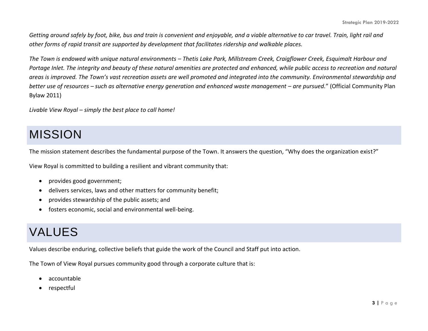*Getting around safely by foot, bike, bus and train is convenient and enjoyable, and a viable alternative to car travel. Train, light rail and other forms of rapid transit are supported by development that facilitates ridership and walkable places.* 

*The Town is endowed with unique natural environments – Thetis Lake Park, Millstream Creek, Craigflower Creek, Esquimalt Harbour and Portage Inlet. The integrity and beauty of these natural amenities are protected and enhanced, while public access to recreation and natural areas is improved. The Town's vast recreation assets are well promoted and integrated into the community. Environmental stewardship and better use of resources – such as alternative energy generation and enhanced waste management – are pursued.*" (Official Community Plan Bylaw 2011)

*Livable View Royal – simply the best place to call home!*

## MISSION

The mission statement describes the fundamental purpose of the Town. It answers the question, "Why does the organization exist?"

View Royal is committed to building a resilient and vibrant community that:

- provides good government;
- delivers services, laws and other matters for community benefit;
- provides stewardship of the public assets; and
- fosters economic, social and environmental well-being.

## VALUES

Values describe enduring, collective beliefs that guide the work of the Council and Staff put into action.

The Town of View Royal pursues community good through a corporate culture that is:

- accountable
- respectful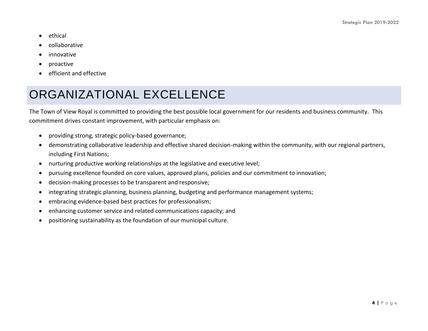- ethical
- collaborative
- innovative
- proactive
- efficient and effective

## ORGANIZATIONAL EXCELLENCE

The Town of View Royal is committed to providing the best possible local government for our residents and business community. This commitment drives constant improvement, with particular emphasis on:

- providing strong, strategic policy-based governance;
- demonstrating collaborative leadership and effective shared decision-making within the community, with our regional partners, including First Nations;
- nurturing productive working relationships at the legislative and executive level;
- pursuing excellence founded on core values, approved plans, policies and our commitment to innovation;
- decision-making processes to be transparent and responsive;
- integrating strategic planning, business planning, budgeting and performance management systems;
- embracing evidence-based best practices for professionalism;
- enhancing customer service and related communications capacity; and
- positioning sustainability as the foundation of our municipal culture.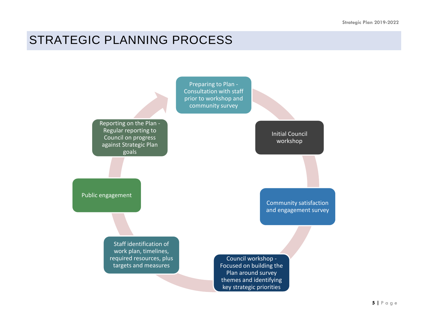## STRATEGIC PLANNING PROCESS

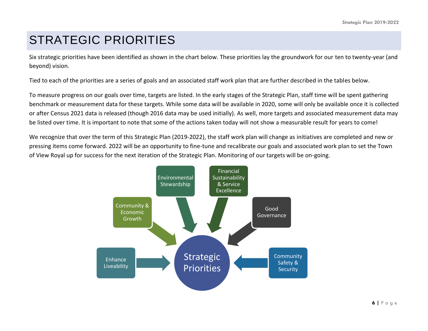## STRATEGIC PRIORITIES

Six strategic priorities have been identified as shown in the chart below. These priorities lay the groundwork for our ten to twenty-year (and beyond) vision.

Tied to each of the priorities are a series of goals and an associated staff work plan that are further described in the tables below.

To measure progress on our goals over time, targets are listed. In the early stages of the Strategic Plan, staff time will be spent gathering benchmark or measurement data for these targets. While some data will be available in 2020, some will only be available once it is collected or after Census 2021 data is released (though 2016 data may be used initially). As well, more targets and associated measurement data may be listed over time. It is important to note that some of the actions taken today will not show a measurable result for years to come!

We recognize that over the term of this Strategic Plan (2019-2022), the staff work plan will change as initiatives are completed and new or pressing items come forward. 2022 will be an opportunity to fine-tune and recalibrate our goals and associated work plan to set the Town of View Royal up for success for the next iteration of the Strategic Plan. Monitoring of our targets will be on-going.

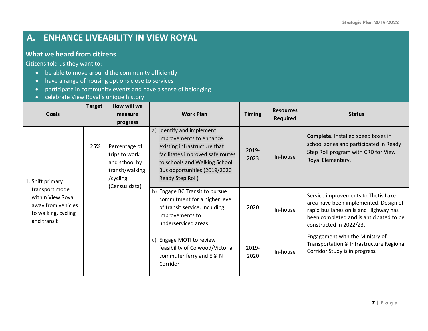## **A. ENHANCE LIVEABILITY IN VIEW ROYAL**

#### **What we heard from citizens**

- be able to move around the community efficiently
- have a range of housing options close to services
- participate in community events and have a sense of belonging
- celebrate View Royal's unique history

| <b>Goals</b>                                                                                    | <b>Target</b> | How will we<br>measure                                                                                      | <b>Work Plan</b>                                                                                                                                                                                                 | <b>Timing</b> | <b>Resources</b><br><b>Required</b> | <b>Status</b>                                                                                                                                                                               |
|-------------------------------------------------------------------------------------------------|---------------|-------------------------------------------------------------------------------------------------------------|------------------------------------------------------------------------------------------------------------------------------------------------------------------------------------------------------------------|---------------|-------------------------------------|---------------------------------------------------------------------------------------------------------------------------------------------------------------------------------------------|
| 1. Shift primary                                                                                | 25%           | progress<br>Percentage of<br>trips to work<br>and school by<br>transit/walking<br>/cycling<br>(Census data) | Identify and implement<br>a)<br>improvements to enhance<br>existing infrastructure that<br>facilitates improved safe routes<br>to schools and Walking School<br>Bus opportunities (2019/2020<br>Ready Step Roll) | 2019-<br>2023 | In-house                            | <b>Complete.</b> Installed speed boxes in<br>school zones and participated in Ready<br>Step Roll program with CRD for View<br>Royal Elementary.                                             |
| transport mode<br>within View Royal<br>away from vehicles<br>to walking, cycling<br>and transit |               |                                                                                                             | Engage BC Transit to pursue<br>b)<br>commitment for a higher level<br>of transit service, including<br>improvements to<br>underserviced areas                                                                    | 2020          | In-house                            | Service improvements to Thetis Lake<br>area have been implemented. Design of<br>rapid bus lanes on Island Highway has<br>been completed and is anticipated to be<br>constructed in 2022/23. |
|                                                                                                 |               |                                                                                                             | c) Engage MOTI to review<br>feasibility of Colwood/Victoria<br>commuter ferry and E & N<br>Corridor                                                                                                              | 2019-<br>2020 | In-house                            | Engagement with the Ministry of<br>Transportation & Infrastructure Regional<br>Corridor Study is in progress.                                                                               |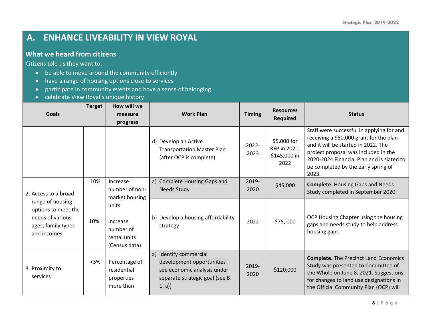## **A. ENHANCE LIVEABILITY IN VIEW ROYAL**

#### **What we heard from citizens**

- be able to move around the community efficiently
- have a range of housing options close to services
- participate in community events and have a sense of belonging
- celebrate View Royal's unique history

| <b>Goals</b>                                                                                     | <b>Target</b> | How will we<br>measure<br>progress                              | <b>Work Plan</b>                                                                                                                    | <b>Timing</b> | <b>Resources</b><br><b>Required</b>                 | <b>Status</b>                                                                                                                                                                                                                                                    |
|--------------------------------------------------------------------------------------------------|---------------|-----------------------------------------------------------------|-------------------------------------------------------------------------------------------------------------------------------------|---------------|-----------------------------------------------------|------------------------------------------------------------------------------------------------------------------------------------------------------------------------------------------------------------------------------------------------------------------|
|                                                                                                  |               |                                                                 | d) Develop an Active<br><b>Transportation Master Plan</b><br>(after OCP is complete)                                                | 2022-<br>2023 | \$5,000 for<br>RFP in 2021;<br>\$145,000 in<br>2022 | Staff were successful in applying for and<br>receiving a \$50,000 grant for the plan<br>and it will be started in 2022. The<br>project proposal was included in the<br>2020-2024 Financial Plan and is slated to<br>be completed by the early spring of<br>2023. |
| 2. Access to a broad                                                                             | 10%           | Increase<br>number of non-<br>market housing                    | a) Complete Housing Gaps and<br><b>Needs Study</b>                                                                                  | 2019-<br>2020 | \$45,000                                            | <b>Complete.</b> Housing Gaps and Needs<br>Study completed in September 2020.                                                                                                                                                                                    |
| range of housing<br>options to meet the<br>needs of various<br>ages, family types<br>and incomes | 10%           | units<br>Increase<br>number of<br>rental units<br>(Census data) | b) Develop a housing affordability<br>strategy                                                                                      | 2022          | \$75,000                                            | OCP Housing Chapter using the housing<br>gaps and needs study to help address<br>housing gaps.                                                                                                                                                                   |
| 3. Proximity to<br>services                                                                      | $<$ 5%        | Percentage of<br>residential<br>properties<br>more than         | Identify commercial<br>a)<br>development opportunities -<br>see economic analysis under<br>separate strategic goal (see B.<br>1. a) | 2019-<br>2020 | \$120,000                                           | <b>Complete.</b> The Precinct Land Economics<br>Study was presented to Committee of<br>the Whole on June 8, 2021. Suggestions<br>for changes to land use designations in<br>the Official Community Plan (OCP) will                                               |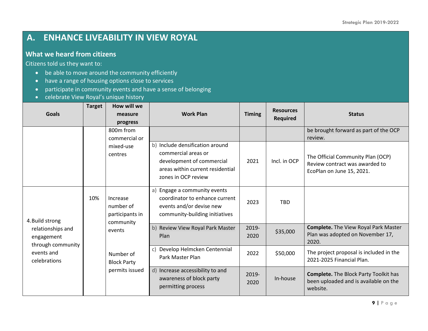## **A. ENHANCE LIVEABILITY IN VIEW ROYAL**

#### **What we heard from citizens**

- be able to move around the community efficiently
- have a range of housing options close to services
- participate in community events and have a sense of belonging
- celebrate View Royal's unique history

| <b>Goals</b>                                                                                                 | <b>Target</b> | How will we<br>measure<br>progress                    | <b>Work Plan</b>                                                                                                                               | <b>Timing</b> | <b>Resources</b><br><b>Required</b> | <b>Status</b>                                                                                     |
|--------------------------------------------------------------------------------------------------------------|---------------|-------------------------------------------------------|------------------------------------------------------------------------------------------------------------------------------------------------|---------------|-------------------------------------|---------------------------------------------------------------------------------------------------|
|                                                                                                              |               | 800m from<br>commercial or                            |                                                                                                                                                |               |                                     | be brought forward as part of the OCP<br>review.                                                  |
|                                                                                                              |               | mixed-use<br>centres                                  | b) Include densification around<br>commercial areas or<br>development of commercial<br>areas within current residential<br>zones in OCP review | 2021          | Incl. in OCP                        | The Official Community Plan (OCP)<br>Review contract was awarded to<br>EcoPlan on June 15, 2021.  |
| 10%<br>4. Build strong<br>relationships and<br>engagement<br>through community<br>events and<br>celebrations |               | Increase<br>number of<br>participants in<br>community | a)<br>Engage a community events<br>coordinator to enhance current<br>events and/or devise new<br>community-building initiatives                | 2023          | <b>TBD</b>                          |                                                                                                   |
|                                                                                                              |               | events                                                | b)<br>Review View Royal Park Master<br>Plan                                                                                                    | 2019-<br>2020 | \$35,000                            | <b>Complete.</b> The View Royal Park Master<br>Plan was adopted on November 17,<br>2020.          |
|                                                                                                              |               | Number of<br><b>Block Party</b><br>permits issued     | Develop Helmcken Centennial<br>c)<br>Park Master Plan                                                                                          | 2022          | \$50,000                            | The project proposal is included in the<br>2021-2025 Financial Plan.                              |
|                                                                                                              |               |                                                       | d) Increase accessibility to and<br>awareness of block party<br>permitting process                                                             | 2019-<br>2020 | In-house                            | <b>Complete.</b> The Block Party Toolkit has<br>been uploaded and is available on the<br>website. |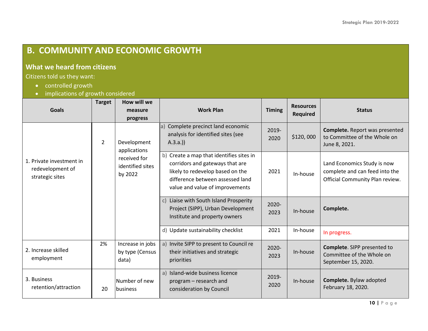## **B. COMMUNITY AND ECONOMIC GROWTH**

#### **What we heard from citizens**

- controlled growth
- implications of growth considered

| <b>Goals</b>                                                    | <b>Target</b>  | How will we<br>measure<br>progress                                         | <b>Work Plan</b>                                                                                                                                                                       | <b>Timing</b> | <b>Resources</b><br><b>Required</b> | <b>Status</b>                                                                                    |
|-----------------------------------------------------------------|----------------|----------------------------------------------------------------------------|----------------------------------------------------------------------------------------------------------------------------------------------------------------------------------------|---------------|-------------------------------------|--------------------------------------------------------------------------------------------------|
| 1. Private investment in<br>redevelopment of<br>strategic sites | $\overline{2}$ | Development<br>applications<br>received for<br>identified sites<br>by 2022 | a) Complete precinct land economic<br>analysis for identified sites (see<br>(A.3.a.)                                                                                                   | 2019-<br>2020 | \$120,000                           | Complete. Report was presented<br>to Committee of the Whole on<br>June 8, 2021.                  |
|                                                                 |                |                                                                            | b) Create a map that identifies sites in<br>corridors and gateways that are<br>likely to redevelop based on the<br>difference between assessed land<br>value and value of improvements | 2021          | In-house                            | Land Economics Study is now<br>complete and can feed into the<br>Official Community Plan review. |
|                                                                 |                |                                                                            | Liaise with South Island Prosperity<br>c)<br>Project (SIPP), Urban Development<br>Institute and property owners                                                                        | 2020-<br>2023 | In-house                            | Complete.                                                                                        |
|                                                                 |                |                                                                            | d) Update sustainability checklist                                                                                                                                                     | 2021          | In-house                            | In progress.                                                                                     |
| 2. Increase skilled<br>employment                               | 2%             | Increase in jobs<br>by type (Census<br>data)                               | Invite SIPP to present to Council re<br>a)<br>their initiatives and strategic<br>priorities                                                                                            | 2020-<br>2023 | In-house                            | Complete. SIPP presented to<br>Committee of the Whole on<br>September 15, 2020.                  |
| 3. Business<br>retention/attraction                             | 20             | Number of new<br>lbusiness                                                 | Island-wide business licence<br>a)<br>program – research and<br>consideration by Council                                                                                               | 2019-<br>2020 | In-house                            | Complete. Bylaw adopted<br>February 18, 2020.                                                    |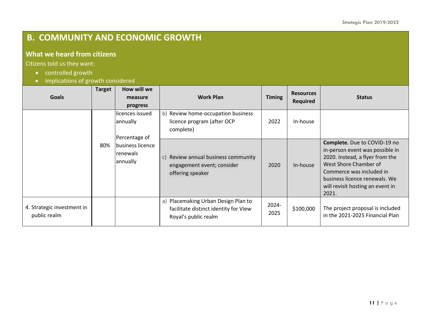## **B. COMMUNITY AND ECONOMIC GROWTH**

#### **What we heard from citizens**

- controlled growth
- implications of growth considered

| <b>Goals</b>                               | <b>Target</b> | How will we<br>measure<br>progress              | <b>Work Plan</b>                                                                                     | <b>Timing</b> | <b>Resources</b><br><b>Required</b> | <b>Status</b>                                                                                                                                                                                                                         |
|--------------------------------------------|---------------|-------------------------------------------------|------------------------------------------------------------------------------------------------------|---------------|-------------------------------------|---------------------------------------------------------------------------------------------------------------------------------------------------------------------------------------------------------------------------------------|
|                                            |               | llicences issued<br>annually<br>Percentage of   | b) Review home-occupation business<br>licence program (after OCP<br>complete)                        | 2022          | In-house                            |                                                                                                                                                                                                                                       |
|                                            | 80%           | business licence<br><b>renewals</b><br>annually | Review annual business community<br>$\mathsf{C}$<br>engagement event; consider<br>offering speaker   | 2020          | In-house                            | Complete. Due to COVID-19 no<br>in-person event was possible in<br>2020. Instead, a flyer from the<br>West Shore Chamber of<br>Commerce was included in<br>business licence renewals. We<br>will revisit hosting an event in<br>2021. |
| 4. Strategic investment in<br>public realm |               |                                                 | a) Placemaking Urban Design Plan to<br>facilitate distinct identity for View<br>Royal's public realm | 2024-<br>2025 | \$100,000                           | The project proposal is included<br>in the 2021-2025 Financial Plan                                                                                                                                                                   |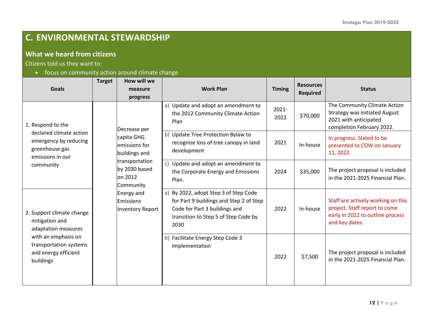## **C. ENVIRONMENTAL STEWARDSHIP**

#### **What we heard from citizens**

Citizens told us they want to:

• focus on community action around climate change

|                                                                                                                                                                                                                                                                                      | <b>Target</b> | How will we                                                                                                                                                                          |                                                                                                                                                                   |                                                                                            | <b>Resources</b> |                                                                                                                            |                                                                       |
|--------------------------------------------------------------------------------------------------------------------------------------------------------------------------------------------------------------------------------------------------------------------------------------|---------------|--------------------------------------------------------------------------------------------------------------------------------------------------------------------------------------|-------------------------------------------------------------------------------------------------------------------------------------------------------------------|--------------------------------------------------------------------------------------------|------------------|----------------------------------------------------------------------------------------------------------------------------|-----------------------------------------------------------------------|
| <b>Goals</b>                                                                                                                                                                                                                                                                         |               | measure<br>progress                                                                                                                                                                  | <b>Work Plan</b>                                                                                                                                                  | <b>Timing</b>                                                                              | <b>Required</b>  | <b>Status</b>                                                                                                              |                                                                       |
| 1. Respond to the<br>declared climate action<br>emergency by reducing<br>greenhouse gas<br>emissions in our<br>community<br>2. Support climate change<br>mitigation and<br>adaptation measures<br>with an emphasis on<br>transportation systems<br>and energy efficient<br>buildings |               | Decrease per<br>capita GHG<br>emissions for<br>buildings and<br>transportation<br>by 2030 based<br>on 2012<br>Community<br>Energy and<br><b>Emissions</b><br><b>Inventory Report</b> | a) Update and adopt an amendment to<br>the 2012 Community Climate Action<br>Plan                                                                                  | $2021 -$<br>2022                                                                           | \$70,000         | The Community Climate Action<br><b>Strategy was initiated August</b><br>2021 with anticipated<br>completion February 2022. |                                                                       |
|                                                                                                                                                                                                                                                                                      |               |                                                                                                                                                                                      |                                                                                                                                                                   | b) Update Tree Protection Bylaw to<br>recognize loss of tree canopy in land<br>development | 2021             | In-house                                                                                                                   | In progress. Slated to be<br>presented to COW on January<br>11, 2022. |
|                                                                                                                                                                                                                                                                                      |               |                                                                                                                                                                                      | c) Update and adopt an amendment to<br>the Corporate Energy and Emissions<br>Plan.                                                                                | 2024                                                                                       | \$35,000         | The project proposal is included<br>in the 2021-2025 Financial Plan.                                                       |                                                                       |
|                                                                                                                                                                                                                                                                                      |               |                                                                                                                                                                                      | a) By 2022, adopt Step 3 of Step Code<br>for Part 9 buildings and Step 2 of Step<br>Code for Part 3 buildings and<br>transition to Step 5 of Step Code by<br>2030 | 2022                                                                                       | In-house         | Staff are actively working on this<br>project. Staff report to come<br>early in 2022 to outline process<br>and key dates.  |                                                                       |
|                                                                                                                                                                                                                                                                                      |               |                                                                                                                                                                                      |                                                                                                                                                                   | b) Facilitate Energy Step Code 3<br>implementation                                         | 2022             | \$7,500                                                                                                                    | The project proposal is included<br>in the 2021-2025 Financial Plan.  |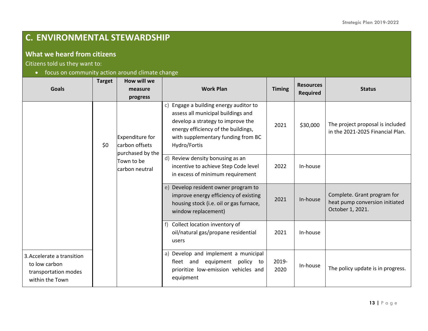## **C. ENVIRONMENTAL STEWARDSHIP**

#### **What we heard from citizens**

Citizens told us they want to:

• focus on community action around climate change

| <b>Goals</b>                                                                           | <b>Target</b> | How will we<br>measure<br>progress                    | <b>Work Plan</b>                                                                                                                                                                                               | <b>Timing</b> | <b>Resources</b><br><b>Required</b> | <b>Status</b>                                                                     |
|----------------------------------------------------------------------------------------|---------------|-------------------------------------------------------|----------------------------------------------------------------------------------------------------------------------------------------------------------------------------------------------------------------|---------------|-------------------------------------|-----------------------------------------------------------------------------------|
|                                                                                        | \$0           | Expenditure for<br>carbon offsets<br>purchased by the | c) Engage a building energy auditor to<br>assess all municipal buildings and<br>develop a strategy to improve the<br>energy efficiency of the buildings,<br>with supplementary funding from BC<br>Hydro/Fortis | 2021          | \$30,000                            | The project proposal is included<br>in the 2021-2025 Financial Plan.              |
|                                                                                        |               | Town to be<br>carbon neutral                          | d) Review density bonusing as an<br>incentive to achieve Step Code level<br>in excess of minimum requirement                                                                                                   | 2022          | In-house                            |                                                                                   |
|                                                                                        |               |                                                       | e) Develop resident owner program to<br>improve energy efficiency of existing<br>housing stock (i.e. oil or gas furnace,<br>window replacement)                                                                | 2021          | In-house                            | Complete. Grant program for<br>heat pump conversion initiated<br>October 1, 2021. |
|                                                                                        |               |                                                       | Collect location inventory of<br>oil/natural gas/propane residential<br>users                                                                                                                                  | 2021          | In-house                            |                                                                                   |
| 3. Accelerate a transition<br>to low carbon<br>transportation modes<br>within the Town |               |                                                       | a) Develop and implement a municipal<br>fleet and<br>equipment<br>policy<br>to<br>prioritize low-emission vehicles and<br>equipment                                                                            | 2019-<br>2020 | In-house                            | The policy update is in progress.                                                 |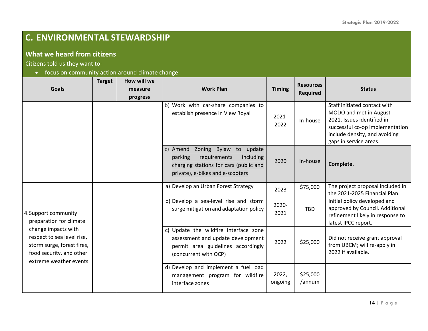## **C. ENVIRONMENTAL STEWARDSHIP**

#### **What we heard from citizens**

Citizens told us they want to:

• focus on community action around climate change

| <b>Goals</b>                                                                                                                                                                             | <b>Target</b> | How will we<br>measure<br>progress | <b>Work Plan</b>                                                                                                                                               | <b>Timing</b>    | <b>Resources</b><br><b>Required</b> | <b>Status</b>                                                                                                                                                                      |
|------------------------------------------------------------------------------------------------------------------------------------------------------------------------------------------|---------------|------------------------------------|----------------------------------------------------------------------------------------------------------------------------------------------------------------|------------------|-------------------------------------|------------------------------------------------------------------------------------------------------------------------------------------------------------------------------------|
|                                                                                                                                                                                          |               |                                    | b) Work with car-share companies to<br>establish presence in View Royal                                                                                        | $2021 -$<br>2022 | In-house                            | Staff initiated contact with<br>MODO and met in August<br>2021. Issues identified in<br>successful co-op implementation<br>include density, and avoiding<br>gaps in service areas. |
|                                                                                                                                                                                          |               |                                    | Zoning Bylaw<br>c)<br>Amend<br>to update<br>parking<br>requirements<br>including<br>charging stations for cars (public and<br>private), e-bikes and e-scooters | 2020             | In-house                            | Complete.                                                                                                                                                                          |
|                                                                                                                                                                                          |               |                                    | a) Develop an Urban Forest Strategy                                                                                                                            | 2023             | \$75,000                            | The project proposal included in<br>the 2021-2025 Financial Plan.                                                                                                                  |
| 4. Support community<br>preparation for climate<br>change impacts with<br>respect to sea level rise,<br>storm surge, forest fires,<br>food security, and other<br>extreme weather events |               |                                    | b) Develop a sea-level rise and storm<br>surge mitigation and adaptation policy                                                                                | 2020-<br>2021    | <b>TBD</b>                          | Initial policy developed and<br>approved by Council. Additional<br>refinement likely in response to<br>latest IPCC report.                                                         |
|                                                                                                                                                                                          |               |                                    | c) Update the wildfire interface zone<br>assessment and update development<br>permit area guidelines accordingly<br>(concurrent with OCP)                      | 2022             | \$25,000                            | Did not receive grant approval<br>from UBCM; will re-apply in<br>2022 if available.                                                                                                |
|                                                                                                                                                                                          |               |                                    | d) Develop and implement a fuel load<br>management program for wildfire<br>interface zones                                                                     | 2022,<br>ongoing | \$25,000<br>/annum                  |                                                                                                                                                                                    |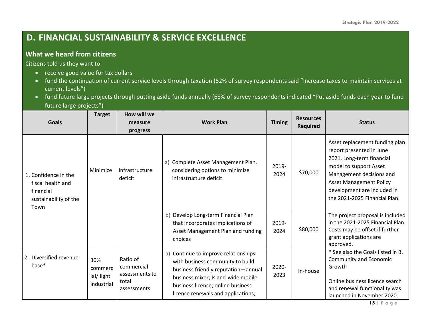### **D. FINANCIAL SUSTAINABILITY & SERVICE EXCELLENCE**

#### **What we heard from citizens**

- receive good value for tax dollars
- fund the continuation of current service levels through taxation (52% of survey respondents said "Increase taxes to maintain services at current levels")
- fund future large projects through putting aside funds annually (68% of survey respondents indicated "Put aside funds each year to fund future large projects")

|                                                                                         | <b>Target</b>                             | How will we                                                      |                                                                                                                                                                                                                                  |               | <b>Resources</b> |                                                                                                                                                                                                                                                 |
|-----------------------------------------------------------------------------------------|-------------------------------------------|------------------------------------------------------------------|----------------------------------------------------------------------------------------------------------------------------------------------------------------------------------------------------------------------------------|---------------|------------------|-------------------------------------------------------------------------------------------------------------------------------------------------------------------------------------------------------------------------------------------------|
| <b>Goals</b>                                                                            |                                           | measure                                                          | <b>Work Plan</b>                                                                                                                                                                                                                 | <b>Timing</b> | <b>Required</b>  | <b>Status</b>                                                                                                                                                                                                                                   |
|                                                                                         |                                           | progress                                                         |                                                                                                                                                                                                                                  |               |                  |                                                                                                                                                                                                                                                 |
| 1. Confidence in the<br>fiscal health and<br>financial<br>sustainability of the<br>Town | Minimize                                  | Infrastructure<br>deficit                                        | a) Complete Asset Management Plan,<br>considering options to minimize<br>infrastructure deficit                                                                                                                                  | 2019-<br>2024 | \$70,000         | Asset replacement funding plan<br>report presented in June<br>2021. Long-term financial<br>model to support Asset<br>Management decisions and<br><b>Asset Management Policy</b><br>development are included in<br>the 2021-2025 Financial Plan. |
|                                                                                         |                                           |                                                                  | b) Develop Long-term Financial Plan<br>that incorporates implications of<br>Asset Management Plan and funding<br>choices                                                                                                         | 2019-<br>2024 | \$80,000         | The project proposal is included<br>in the 2021-2025 Financial Plan.<br>Costs may be offset if further<br>grant applications are<br>approved.                                                                                                   |
| 2. Diversified revenue<br>base*                                                         | 30%<br>commerc<br>ial/light<br>industrial | Ratio of<br>commercial<br>assessments to<br>total<br>assessments | a) Continue to improve relationships<br>with business community to build<br>business friendly reputation-annual<br>business mixer; Island-wide mobile<br>business licence; online business<br>licence renewals and applications; | 2020-<br>2023 | In-house         | * See also the Goals listed in B.<br>Community and Economic<br>Growth<br>Online business licence search<br>and renewal functionality was<br>launched in November 2020.                                                                          |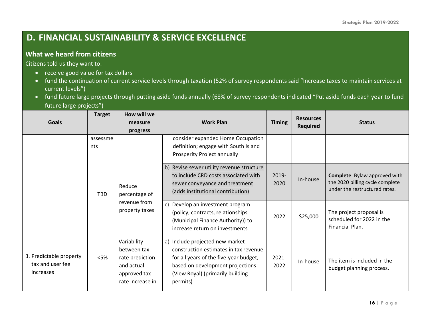## **D. FINANCIAL SUSTAINABILITY & SERVICE EXCELLENCE**

#### **What we heard from citizens**

- receive good value for tax dollars
- fund the continuation of current service levels through taxation (52% of survey respondents said "Increase taxes to maintain services at current levels")
- fund future large projects through putting aside funds annually (68% of survey respondents indicated "Put aside funds each year to fund future large projects")

|                               | <b>Target</b>   | How will we                                               |                                                                                                                                                                                                                                                                                                       |                       | <b>Resources</b>     |                                                                                                                                                           |
|-------------------------------|-----------------|-----------------------------------------------------------|-------------------------------------------------------------------------------------------------------------------------------------------------------------------------------------------------------------------------------------------------------------------------------------------------------|-----------------------|----------------------|-----------------------------------------------------------------------------------------------------------------------------------------------------------|
| <b>Goals</b>                  |                 | measure                                                   | <b>Work Plan</b>                                                                                                                                                                                                                                                                                      | <b>Timing</b>         | <b>Required</b>      | <b>Status</b>                                                                                                                                             |
|                               |                 | progress                                                  |                                                                                                                                                                                                                                                                                                       |                       |                      |                                                                                                                                                           |
|                               | assessme<br>nts |                                                           | consider expanded Home Occupation<br>definition; engage with South Island                                                                                                                                                                                                                             |                       |                      |                                                                                                                                                           |
|                               | <b>TBD</b>      | Reduce<br>percentage of<br>revenue from<br>property taxes | Prosperity Project annually<br>b) Revise sewer utility revenue structure<br>to include CRD costs associated with<br>sewer conveyance and treatment<br>(adds institutional contribution)<br>c) Develop an investment program<br>(policy, contracts, relationships<br>(Municipal Finance Authority)) to | 2019-<br>2020<br>2022 | In-house<br>\$25,000 | Complete. Bylaw approved with<br>the 2020 billing cycle complete<br>under the restructured rates.<br>The project proposal is<br>scheduled for 2022 in the |
| 3. Predictable property       | $<$ 5%          | Variability<br>between tax<br>rate prediction             | increase return on investments<br>a) Include projected new market<br>construction estimates in tax revenue<br>for all years of the five-year budget,                                                                                                                                                  | 2021-                 | In-house             | Financial Plan.<br>The item is included in the                                                                                                            |
| tax and user fee<br>increases |                 | and actual<br>approved tax<br>rate increase in            | based on development projections<br>(View Royal) (primarily building<br>permits)                                                                                                                                                                                                                      | 2022                  |                      | budget planning process.                                                                                                                                  |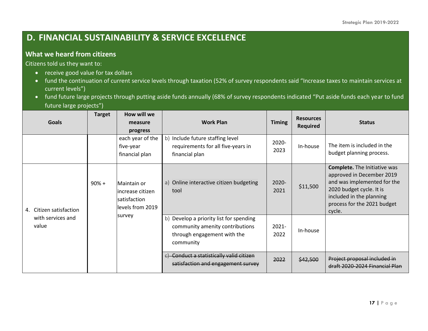### **D. FINANCIAL SUSTAINABILITY & SERVICE EXCELLENCE**

#### **What we heard from citizens**

- receive good value for tax dollars
- fund the continuation of current service levels through taxation (52% of survey respondents said "Increase taxes to maintain services at current levels")
- fund future large projects through putting aside funds annually (68% of survey respondents indicated "Put aside funds each year to fund future large projects")

| <b>Goals</b>                                             | <b>Target</b> | How will we<br>measure<br>progress                                             | <b>Work Plan</b>                                                                                                       | <b>Timing</b>    | <b>Resources</b><br><b>Required</b> | <b>Status</b>                                                                                                                                                                                    |
|----------------------------------------------------------|---------------|--------------------------------------------------------------------------------|------------------------------------------------------------------------------------------------------------------------|------------------|-------------------------------------|--------------------------------------------------------------------------------------------------------------------------------------------------------------------------------------------------|
|                                                          |               | each year of the<br>five-year<br>financial plan                                | b) Include future staffing level<br>requirements for all five-years in<br>financial plan                               | 2020-<br>2023    | In-house                            | The item is included in the<br>budget planning process.                                                                                                                                          |
| Citizen satisfaction<br>4.<br>with services and<br>value | $90% +$       | Maintain or<br>lincrease citizen<br>satisfaction<br>levels from 2019<br>survey | a) Online interactive citizen budgeting<br>tool                                                                        | $2020 -$<br>2021 | \$11,500                            | <b>Complete.</b> The Initiative was<br>approved in December 2019<br>and was implemented for the<br>2020 budget cycle. It is<br>included in the planning<br>process for the 2021 budget<br>cycle. |
|                                                          |               |                                                                                | b) Develop a priority list for spending<br>community amenity contributions<br>through engagement with the<br>community | $2021 -$<br>2022 | In-house                            |                                                                                                                                                                                                  |
|                                                          |               |                                                                                | c) Conduct a statistically valid citizen<br>satisfaction and engagement survey                                         | 2022             | \$42,500                            | Project proposal included in<br>draft 2020-2024 Financial Plan                                                                                                                                   |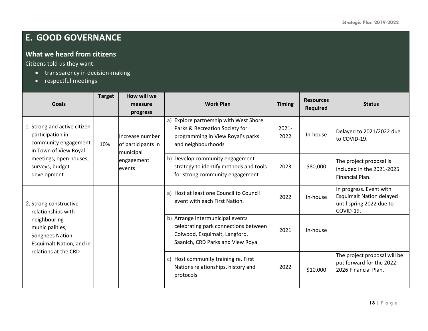## **E. GOOD GOVERNANCE**

#### **What we heard from citizens**

- transparency in decision-making
- respectful meetings

| <b>Goals</b>                                                                                                                                                  | <b>Target</b> | How will we<br>measure                                                     | <b>Work Plan</b>                                                                                                                               | <b>Timing</b>    | <b>Resources</b> | <b>Status</b>                                                                                       |
|---------------------------------------------------------------------------------------------------------------------------------------------------------------|---------------|----------------------------------------------------------------------------|------------------------------------------------------------------------------------------------------------------------------------------------|------------------|------------------|-----------------------------------------------------------------------------------------------------|
|                                                                                                                                                               |               | progress                                                                   |                                                                                                                                                |                  | <b>Required</b>  |                                                                                                     |
| 1. Strong and active citizen<br>participation in<br>community engagement<br>in Town of View Royal<br>meetings, open houses,<br>surveys, budget<br>development | 10%           | Increase number<br>of participants in<br>municipal<br>engagement<br>events | Explore partnership with West Shore<br>a)<br>Parks & Recreation Society for<br>programming in View Royal's parks<br>and neighbourhoods         | $2021 -$<br>2022 | In-house         | Delayed to 2021/2022 due<br>to COVID-19.                                                            |
|                                                                                                                                                               |               |                                                                            | b) Develop community engagement<br>strategy to identify methods and tools<br>for strong community engagement                                   | 2023             | \$80,000         | The project proposal is<br>included in the 2021-2025<br>Financial Plan.                             |
| 2. Strong constructive<br>relationships with                                                                                                                  |               |                                                                            | a) Host at least one Council to Council<br>event with each First Nation.                                                                       | 2022             | In-house         | In progress. Event with<br><b>Esquimalt Nation delayed</b><br>until spring 2022 due to<br>COVID-19. |
| neighbouring<br>municipalities,<br>Songhees Nation,<br>Esquimalt Nation, and in                                                                               |               |                                                                            | b) Arrange intermunicipal events<br>celebrating park connections between<br>Colwood, Esquimalt, Langford,<br>Saanich, CRD Parks and View Royal | 2021             | In-house         |                                                                                                     |
| relations at the CRD                                                                                                                                          |               |                                                                            | Host community training re. First<br>C)<br>Nations relationships, history and<br>protocols                                                     | 2022             | \$10,000         | The project proposal will be<br>put forward for the 2022-<br>2026 Financial Plan.                   |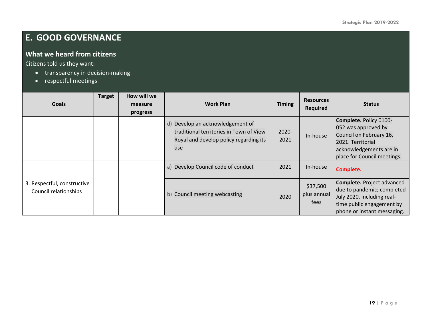## **E. GOOD GOVERNANCE**

#### **What we heard from citizens**

- transparency in decision-making
- respectful meetings

| <b>Goals</b>                                         | <b>Target</b> | How will we<br>measure<br>progress | <b>Work Plan</b>                                                                                                                | <b>Timing</b>    | <b>Resources</b><br>Required    | <b>Status</b>                                                                                                                                           |
|------------------------------------------------------|---------------|------------------------------------|---------------------------------------------------------------------------------------------------------------------------------|------------------|---------------------------------|---------------------------------------------------------------------------------------------------------------------------------------------------------|
|                                                      |               |                                    | Develop an acknowledgement of<br>d)<br>traditional territories in Town of View<br>Royal and develop policy regarding its<br>use | $2020 -$<br>2021 | In-house                        | Complete. Policy 0100-<br>052 was approved by<br>Council on February 16,<br>2021. Territorial<br>acknowledgements are in<br>place for Council meetings. |
|                                                      |               |                                    | Develop Council code of conduct<br>a)                                                                                           | 2021             | In-house                        | Complete.                                                                                                                                               |
| 3. Respectful, constructive<br>Council relationships |               |                                    | b) Council meeting webcasting                                                                                                   | 2020             | \$37,500<br>plus annual<br>fees | Complete. Project advanced<br>due to pandemic; completed<br>July 2020, including real-<br>time public engagement by<br>phone or instant messaging.      |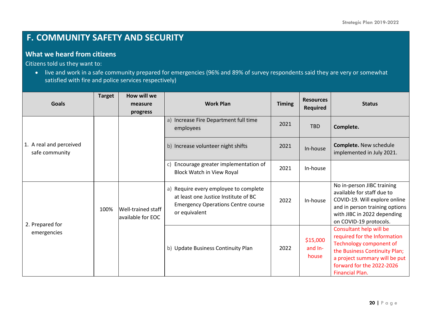## **F. COMMUNITY SAFETY AND SECURITY**

#### **What we heard from citizens**

Citizens told us they want to:

• live and work in a safe community prepared for emergencies (96% and 89% of survey respondents said they are very or somewhat satisfied with fire and police services respectively)

| <b>Goals</b>                              | <b>Target</b> | How will we                             | <b>Work Plan</b>                                                                                                                            | <b>Timing</b> | <b>Resources</b><br><b>Required</b> | <b>Status</b>                                                                                                                                                                                               |
|-------------------------------------------|---------------|-----------------------------------------|---------------------------------------------------------------------------------------------------------------------------------------------|---------------|-------------------------------------|-------------------------------------------------------------------------------------------------------------------------------------------------------------------------------------------------------------|
|                                           |               | measure                                 |                                                                                                                                             |               |                                     |                                                                                                                                                                                                             |
| 1. A real and perceived<br>safe community |               | progress                                | a) Increase Fire Department full time<br>employees                                                                                          | 2021          | <b>TBD</b>                          | Complete.                                                                                                                                                                                                   |
|                                           |               |                                         | b) Increase volunteer night shifts                                                                                                          | 2021          | In-house                            | Complete. New schedule<br>implemented in July 2021.                                                                                                                                                         |
|                                           |               |                                         | Encourage greater implementation of<br>c)<br>Block Watch in View Royal                                                                      | 2021          | In-house                            |                                                                                                                                                                                                             |
| 2. Prepared for<br>emergencies            | 100%          | Well-trained staff<br>available for EOC | a) Require every employee to complete<br>at least one Justice Institute of BC<br><b>Emergency Operations Centre course</b><br>or equivalent | 2022          | In-house                            | No in-person JIBC training<br>available for staff due to<br>COVID-19. Will explore online<br>and in person training options<br>with JIBC in 2022 depending<br>on COVID-19 protocols.                        |
|                                           |               |                                         | b) Update Business Continuity Plan                                                                                                          | 2022          | \$15,000<br>and In-<br>house        | Consultant help will be<br>required for the Information<br>Technology component of<br>the Business Continuity Plan;<br>a project summary will be put<br>forward for the 2022-2026<br><b>Financial Plan.</b> |